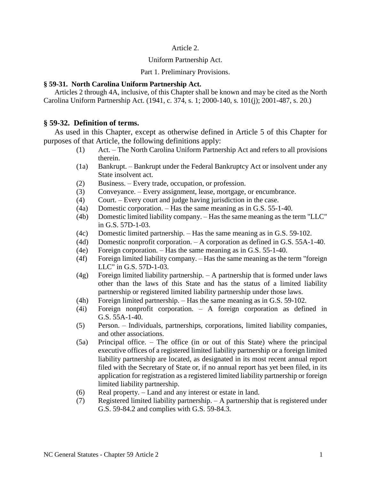## Article 2.

## Uniform Partnership Act.

## Part 1. Preliminary Provisions.

## **§ 59-31. North Carolina Uniform Partnership Act.**

Articles 2 through 4A, inclusive, of this Chapter shall be known and may be cited as the North Carolina Uniform Partnership Act. (1941, c. 374, s. 1; 2000-140, s. 101(j); 2001-487, s. 20.)

# **§ 59-32. Definition of terms.**

As used in this Chapter, except as otherwise defined in Article 5 of this Chapter for purposes of that Article, the following definitions apply:

- (1) Act. The North Carolina Uniform Partnership Act and refers to all provisions therein.
- (1a) Bankrupt. Bankrupt under the Federal Bankruptcy Act or insolvent under any State insolvent act.
- (2) Business. Every trade, occupation, or profession.
- (3) Conveyance. Every assignment, lease, mortgage, or encumbrance.
- (4) Court. Every court and judge having jurisdiction in the case.
- (4a) Domestic corporation. Has the same meaning as in G.S. 55-1-40.
- (4b) Domestic limited liability company. Has the same meaning as the term "LLC" in G.S. 57D-1-03.
- (4c) Domestic limited partnership. Has the same meaning as in G.S. 59-102.
- (4d) Domestic nonprofit corporation. A corporation as defined in G.S. 55A-1-40.
- (4e) Foreign corporation. Has the same meaning as in G.S. 55-1-40.
- (4f) Foreign limited liability company. Has the same meaning as the term "foreign LLC" in G.S. 57D-1-03.
- (4g) Foreign limited liability partnership. A partnership that is formed under laws other than the laws of this State and has the status of a limited liability partnership or registered limited liability partnership under those laws.
- (4h) Foreign limited partnership. Has the same meaning as in G.S. 59-102.
- (4i) Foreign nonprofit corporation. A foreign corporation as defined in G.S. 55A-1-40.
- (5) Person. Individuals, partnerships, corporations, limited liability companies, and other associations.
- (5a) Principal office. The office (in or out of this State) where the principal executive offices of a registered limited liability partnership or a foreign limited liability partnership are located, as designated in its most recent annual report filed with the Secretary of State or, if no annual report has yet been filed, in its application for registration as a registered limited liability partnership or foreign limited liability partnership.
- (6) Real property. Land and any interest or estate in land.
- (7) Registered limited liability partnership. A partnership that is registered under G.S. 59-84.2 and complies with G.S. 59-84.3.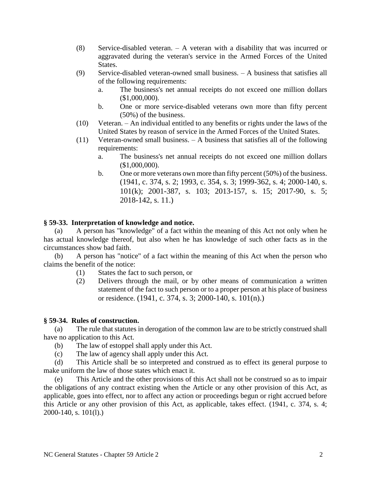- (8) Service-disabled veteran. A veteran with a disability that was incurred or aggravated during the veteran's service in the Armed Forces of the United States.
- (9) Service-disabled veteran-owned small business. A business that satisfies all of the following requirements:
	- a. The business's net annual receipts do not exceed one million dollars (\$1,000,000).
	- b. One or more service-disabled veterans own more than fifty percent (50%) of the business.
- (10) Veteran. An individual entitled to any benefits or rights under the laws of the United States by reason of service in the Armed Forces of the United States.
- (11) Veteran-owned small business. A business that satisfies all of the following requirements:
	- a. The business's net annual receipts do not exceed one million dollars (\$1,000,000).
	- b. One or more veterans own more than fifty percent (50%) of the business. (1941, c. 374, s. 2; 1993, c. 354, s. 3; 1999-362, s. 4; 2000-140, s. 101(k); 2001-387, s. 103; 2013-157, s. 15; 2017-90, s. 5; 2018-142, s. 11.)

## **§ 59-33. Interpretation of knowledge and notice.**

(a) A person has "knowledge" of a fact within the meaning of this Act not only when he has actual knowledge thereof, but also when he has knowledge of such other facts as in the circumstances show bad faith.

(b) A person has "notice" of a fact within the meaning of this Act when the person who claims the benefit of the notice:

- (1) States the fact to such person, or
- (2) Delivers through the mail, or by other means of communication a written statement of the fact to such person or to a proper person at his place of business or residence. (1941, c. 374, s. 3; 2000-140, s. 101(n).)

## **§ 59-34. Rules of construction.**

(a) The rule that statutes in derogation of the common law are to be strictly construed shall have no application to this Act.

- (b) The law of estoppel shall apply under this Act.
- (c) The law of agency shall apply under this Act.

(d) This Article shall be so interpreted and construed as to effect its general purpose to make uniform the law of those states which enact it.

(e) This Article and the other provisions of this Act shall not be construed so as to impair the obligations of any contract existing when the Article or any other provision of this Act, as applicable, goes into effect, nor to affect any action or proceedings begun or right accrued before this Article or any other provision of this Act, as applicable, takes effect. (1941, c. 374, s. 4; 2000-140, s. 101(l).)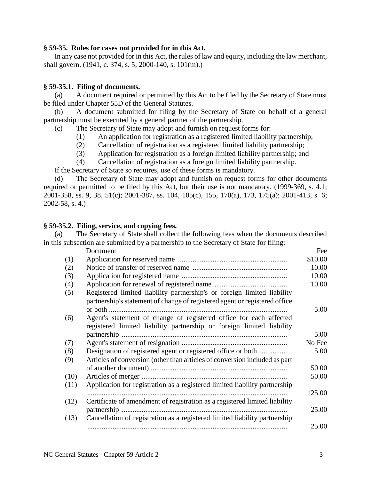### **§ 59-35. Rules for cases not provided for in this Act.**

In any case not provided for in this Act, the rules of law and equity, including the law merchant, shall govern. (1941, c. 374, s. 5; 2000-140, s. 101(m).)

## **§ 59-35.1. Filing of documents.**

(a) A document required or permitted by this Act to be filed by the Secretary of State must be filed under Chapter 55D of the General Statutes.

(b) A document submitted for filing by the Secretary of State on behalf of a general partnership must be executed by a general partner of the partnership.

- (c) The Secretary of State may adopt and furnish on request forms for:
	- (1) An application for registration as a registered limited liability partnership;
	- (2) Cancellation of registration as a registered limited liability partnership;
	- (3) Application for registration as a foreign limited liability partnership; and
	- (4) Cancellation of registration as a foreign limited liability partnership.

If the Secretary of State so requires, use of these forms is mandatory.

(d) The Secretary of State may adopt and furnish on request forms for other documents required or permitted to be filed by this Act, but their use is not mandatory. (1999-369, s. 4.1; 2001-358, ss. 9, 38, 51(c); 2001-387, ss. 104, 105(c), 155, 170(a), 173, 175(a); 2001-413, s. 6; 2002-58, s. 4.)

### **§ 59-35.2. Filing, service, and copying fees.**

(a) The Secretary of State shall collect the following fees when the documents described in this subsection are submitted by a partnership to the Secretary of State for filing:

|      | Document                                                                                                                                              | Fee     |
|------|-------------------------------------------------------------------------------------------------------------------------------------------------------|---------|
| (1)  |                                                                                                                                                       | \$10.00 |
| (2)  |                                                                                                                                                       | 10.00   |
| (3)  |                                                                                                                                                       | 10.00   |
| (4)  |                                                                                                                                                       | 10.00   |
| (5)  | Registered limited liability partnership's or foreign limited liability<br>partnership's statement of change of registered agent or registered office |         |
|      |                                                                                                                                                       | 5.00    |
| (6)  | Agent's statement of change of registered office for each affected<br>registered limited liability partnership or foreign limited liability           |         |
|      |                                                                                                                                                       | 5.00    |
| (7)  |                                                                                                                                                       | No Fee  |
| (8)  | Designation of registered agent or registered office or both                                                                                          | 5.00    |
| (9)  | Articles of conversion (other than articles of conversion included as part                                                                            |         |
|      |                                                                                                                                                       | 50.00   |
| (10) |                                                                                                                                                       | 50.00   |
| (11) | Application for registration as a registered limited liability partnership                                                                            |         |
|      |                                                                                                                                                       | 125.00  |
| (12) | Certificate of amendment of registration as a registered limited liability                                                                            | 25.00   |
| (13) | Cancellation of registration as a registered limited liability partnership                                                                            |         |
|      |                                                                                                                                                       | 25.00   |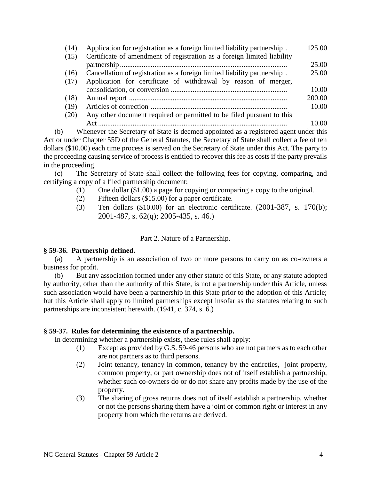| (14) | Application for registration as a foreign limited liability partnership. | 125.00 |
|------|--------------------------------------------------------------------------|--------|
| (15) | Certificate of amendment of registration as a foreign limited liability  |        |
|      |                                                                          | 25.00  |
| (16) | Cancellation of registration as a foreign limited liability partnership. | 25.00  |
| (17) | Application for certificate of withdrawal by reason of merger,           |        |
|      |                                                                          | 10.00  |
| (18) |                                                                          | 200.00 |
| (19) |                                                                          | 10.00  |
| (20) | Any other document required or permitted to be filed pursuant to this    |        |
|      |                                                                          |        |

(b) Whenever the Secretary of State is deemed appointed as a registered agent under this Act or under Chapter 55D of the General Statutes, the Secretary of State shall collect a fee of ten dollars (\$10.00) each time process is served on the Secretary of State under this Act. The party to the proceeding causing service of process is entitled to recover this fee as costs if the party prevails in the proceeding.

(c) The Secretary of State shall collect the following fees for copying, comparing, and certifying a copy of a filed partnership document:

- (1) One dollar (\$1.00) a page for copying or comparing a copy to the original.
- (2) Fifteen dollars (\$15.00) for a paper certificate.
- (3) Ten dollars (\$10.00) for an electronic certificate. (2001-387, s. 170(b); 2001-487, s. 62(q); 2005-435, s. 46.)

Part 2. Nature of a Partnership.

#### **§ 59-36. Partnership defined.**

(a) A partnership is an association of two or more persons to carry on as co-owners a business for profit.

(b) But any association formed under any other statute of this State, or any statute adopted by authority, other than the authority of this State, is not a partnership under this Article, unless such association would have been a partnership in this State prior to the adoption of this Article; but this Article shall apply to limited partnerships except insofar as the statutes relating to such partnerships are inconsistent herewith. (1941, c. 374, s. 6.)

#### **§ 59-37. Rules for determining the existence of a partnership.**

In determining whether a partnership exists, these rules shall apply:

- (1) Except as provided by G.S. 59-46 persons who are not partners as to each other are not partners as to third persons.
- (2) Joint tenancy, tenancy in common, tenancy by the entireties, joint property, common property, or part ownership does not of itself establish a partnership, whether such co-owners do or do not share any profits made by the use of the property.
- (3) The sharing of gross returns does not of itself establish a partnership, whether or not the persons sharing them have a joint or common right or interest in any property from which the returns are derived.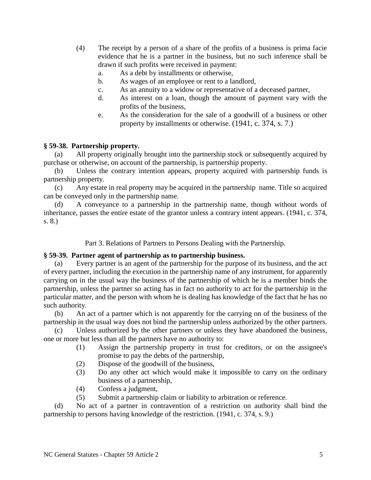- (4) The receipt by a person of a share of the profits of a business is prima facie evidence that he is a partner in the business, but no such inference shall be drawn if such profits were received in payment:
	- a. As a debt by installments or otherwise,
	- b. As wages of an employee or rent to a landlord,
	- c. As an annuity to a widow or representative of a deceased partner,
	- d. As interest on a loan, though the amount of payment vary with the profits of the business,
	- e. As the consideration for the sale of a goodwill of a business or other property by installments or otherwise. (1941, c. 374, s. 7.)

## **§ 59-38. Partnership property.**

(a) All property originally brought into the partnership stock or subsequently acquired by purchase or otherwise, on account of the partnership, is partnership property.

(b) Unless the contrary intention appears, property acquired with partnership funds is partnership property.

(c) Any estate in real property may be acquired in the partnership name. Title so acquired can be conveyed only in the partnership name.

(d) A conveyance to a partnership in the partnership name, though without words of inheritance, passes the entire estate of the grantor unless a contrary intent appears. (1941, c. 374, s. 8.)

Part 3. Relations of Partners to Persons Dealing with the Partnership.

# **§ 59-39. Partner agent of partnership as to partnership business.**

(a) Every partner is an agent of the partnership for the purpose of its business, and the act of every partner, including the execution in the partnership name of any instrument, for apparently carrying on in the usual way the business of the partnership of which he is a member binds the partnership, unless the partner so acting has in fact no authority to act for the partnership in the particular matter, and the person with whom he is dealing has knowledge of the fact that he has no such authority.

(b) An act of a partner which is not apparently for the carrying on of the business of the partnership in the usual way does not bind the partnership unless authorized by the other partners.

(c) Unless authorized by the other partners or unless they have abandoned the business, one or more but less than all the partners have no authority to:

- (1) Assign the partnership property in trust for creditors, or on the assignee's promise to pay the debts of the partnership,
- (2) Dispose of the goodwill of the business,
- (3) Do any other act which would make it impossible to carry on the ordinary business of a partnership,
- (4) Confess a judgment,
- (5) Submit a partnership claim or liability to arbitration or reference.

(d) No act of a partner in contravention of a restriction on authority shall bind the partnership to persons having knowledge of the restriction. (1941, c. 374, s. 9.)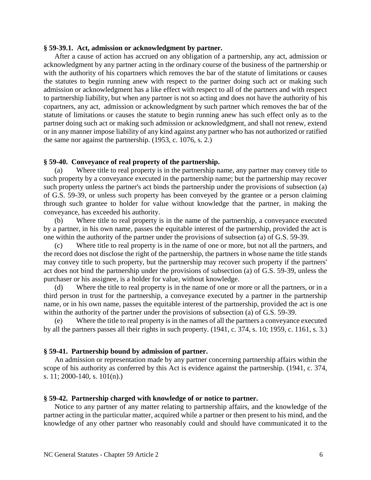#### **§ 59-39.1. Act, admission or acknowledgment by partner.**

After a cause of action has accrued on any obligation of a partnership, any act, admission or acknowledgment by any partner acting in the ordinary course of the business of the partnership or with the authority of his copartners which removes the bar of the statute of limitations or causes the statutes to begin running anew with respect to the partner doing such act or making such admission or acknowledgment has a like effect with respect to all of the partners and with respect to partnership liability, but when any partner is not so acting and does not have the authority of his copartners, any act, admission or acknowledgment by such partner which removes the bar of the statute of limitations or causes the statute to begin running anew has such effect only as to the partner doing such act or making such admission or acknowledgment, and shall not renew, extend or in any manner impose liability of any kind against any partner who has not authorized or ratified the same nor against the partnership. (1953, c. 1076, s. 2.)

#### **§ 59-40. Conveyance of real property of the partnership.**

(a) Where title to real property is in the partnership name, any partner may convey title to such property by a conveyance executed in the partnership name; but the partnership may recover such property unless the partner's act binds the partnership under the provisions of subsection (a) of G.S. 59-39, or unless such property has been conveyed by the grantee or a person claiming through such grantee to holder for value without knowledge that the partner, in making the conveyance, has exceeded his authority.

(b) Where title to real property is in the name of the partnership, a conveyance executed by a partner, in his own name, passes the equitable interest of the partnership, provided the act is one within the authority of the partner under the provisions of subsection (a) of G.S. 59-39.

(c) Where title to real property is in the name of one or more, but not all the partners, and the record does not disclose the right of the partnership, the partners in whose name the title stands may convey title to such property, but the partnership may recover such property if the partners' act does not bind the partnership under the provisions of subsection (a) of G.S. 59-39, unless the purchaser or his assignee, is a holder for value, without knowledge.

(d) Where the title to real property is in the name of one or more or all the partners, or in a third person in trust for the partnership, a conveyance executed by a partner in the partnership name, or in his own name, passes the equitable interest of the partnership, provided the act is one within the authority of the partner under the provisions of subsection (a) of G.S. 59-39.

(e) Where the title to real property is in the names of all the partners a conveyance executed by all the partners passes all their rights in such property. (1941, c. 374, s. 10; 1959, c. 1161, s. 3.)

#### **§ 59-41. Partnership bound by admission of partner.**

An admission or representation made by any partner concerning partnership affairs within the scope of his authority as conferred by this Act is evidence against the partnership. (1941, c. 374, s. 11; 2000-140, s. 101(n).)

### **§ 59-42. Partnership charged with knowledge of or notice to partner.**

Notice to any partner of any matter relating to partnership affairs, and the knowledge of the partner acting in the particular matter, acquired while a partner or then present to his mind, and the knowledge of any other partner who reasonably could and should have communicated it to the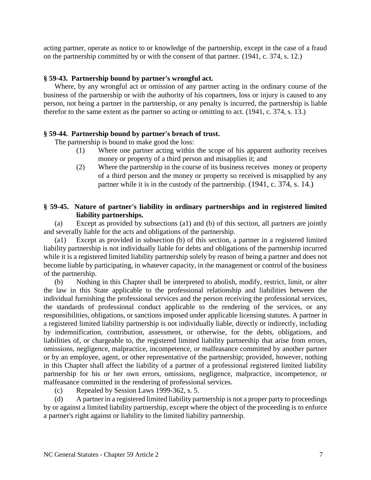acting partner, operate as notice to or knowledge of the partnership, except in the case of a fraud on the partnership committed by or with the consent of that partner. (1941, c. 374, s. 12.)

## **§ 59-43. Partnership bound by partner's wrongful act.**

Where, by any wrongful act or omission of any partner acting in the ordinary course of the business of the partnership or with the authority of his copartners, loss or injury is caused to any person, not being a partner in the partnership, or any penalty is incurred, the partnership is liable therefor to the same extent as the partner so acting or omitting to act. (1941, c. 374, s. 13.)

## **§ 59-44. Partnership bound by partner's breach of trust.**

The partnership is bound to make good the loss:

- (1) Where one partner acting within the scope of his apparent authority receives money or property of a third person and misapplies it; and
- (2) Where the partnership in the course of its business receives money or property of a third person and the money or property so received is misapplied by any partner while it is in the custody of the partnership. (1941, c. 374, s. 14.)

# **§ 59-45. Nature of partner's liability in ordinary partnerships and in registered limited liability partnerships.**

(a) Except as provided by subsections (a1) and (b) of this section, all partners are jointly and severally liable for the acts and obligations of the partnership.

(a1) Except as provided in subsection (b) of this section, a partner in a registered limited liability partnership is not individually liable for debts and obligations of the partnership incurred while it is a registered limited liability partnership solely by reason of being a partner and does not become liable by participating, in whatever capacity, in the management or control of the business of the partnership.

(b) Nothing in this Chapter shall be interpreted to abolish, modify, restrict, limit, or alter the law in this State applicable to the professional relationship and liabilities between the individual furnishing the professional services and the person receiving the professional services, the standards of professional conduct applicable to the rendering of the services, or any responsibilities, obligations, or sanctions imposed under applicable licensing statutes. A partner in a registered limited liability partnership is not individually liable, directly or indirectly, including by indemnification, contribution, assessment, or otherwise, for the debts, obligations, and liabilities of, or chargeable to, the registered limited liability partnership that arise from errors, omissions, negligence, malpractice, incompetence, or malfeasance committed by another partner or by an employee, agent, or other representative of the partnership; provided, however, nothing in this Chapter shall affect the liability of a partner of a professional registered limited liability partnership for his or her own errors, omissions, negligence, malpractice, incompetence, or malfeasance committed in the rendering of professional services.

(c) Repealed by Session Laws 1999-362, s. 5.

(d) A partner in a registered limited liability partnership is not a proper party to proceedings by or against a limited liability partnership, except where the object of the proceeding is to enforce a partner's right against or liability to the limited liability partnership.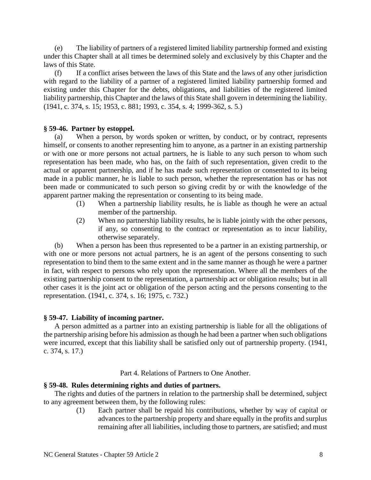(e) The liability of partners of a registered limited liability partnership formed and existing under this Chapter shall at all times be determined solely and exclusively by this Chapter and the laws of this State.

(f) If a conflict arises between the laws of this State and the laws of any other jurisdiction with regard to the liability of a partner of a registered limited liability partnership formed and existing under this Chapter for the debts, obligations, and liabilities of the registered limited liability partnership, this Chapter and the laws of this State shall govern in determining the liability. (1941, c. 374, s. 15; 1953, c. 881; 1993, c. 354, s. 4; 1999-362, s. 5.)

### **§ 59-46. Partner by estoppel.**

(a) When a person, by words spoken or written, by conduct, or by contract, represents himself, or consents to another representing him to anyone, as a partner in an existing partnership or with one or more persons not actual partners, he is liable to any such person to whom such representation has been made, who has, on the faith of such representation, given credit to the actual or apparent partnership, and if he has made such representation or consented to its being made in a public manner, he is liable to such person, whether the representation has or has not been made or communicated to such person so giving credit by or with the knowledge of the apparent partner making the representation or consenting to its being made.

- (1) When a partnership liability results, he is liable as though he were an actual member of the partnership.
- (2) When no partnership liability results, he is liable jointly with the other persons, if any, so consenting to the contract or representation as to incur liability, otherwise separately.

(b) When a person has been thus represented to be a partner in an existing partnership, or with one or more persons not actual partners, he is an agent of the persons consenting to such representation to bind them to the same extent and in the same manner as though he were a partner in fact, with respect to persons who rely upon the representation. Where all the members of the existing partnership consent to the representation, a partnership act or obligation results; but in all other cases it is the joint act or obligation of the person acting and the persons consenting to the representation. (1941, c. 374, s. 16; 1975, c. 732.)

#### **§ 59-47. Liability of incoming partner.**

A person admitted as a partner into an existing partnership is liable for all the obligations of the partnership arising before his admission as though he had been a partner when such obligations were incurred, except that this liability shall be satisfied only out of partnership property. (1941, c. 374, s. 17.)

#### Part 4. Relations of Partners to One Another.

#### **§ 59-48. Rules determining rights and duties of partners.**

The rights and duties of the partners in relation to the partnership shall be determined, subject to any agreement between them, by the following rules:

> (1) Each partner shall be repaid his contributions, whether by way of capital or advances to the partnership property and share equally in the profits and surplus remaining after all liabilities, including those to partners, are satisfied; and must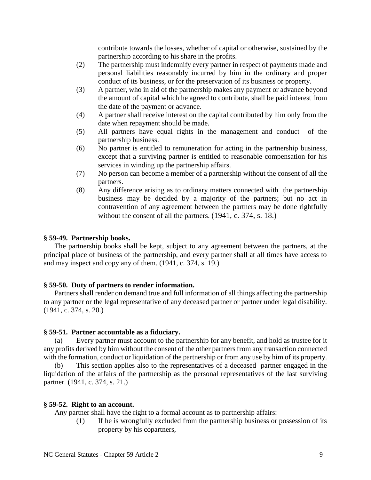contribute towards the losses, whether of capital or otherwise, sustained by the partnership according to his share in the profits.

- (2) The partnership must indemnify every partner in respect of payments made and personal liabilities reasonably incurred by him in the ordinary and proper conduct of its business, or for the preservation of its business or property.
- (3) A partner, who in aid of the partnership makes any payment or advance beyond the amount of capital which he agreed to contribute, shall be paid interest from the date of the payment or advance.
- (4) A partner shall receive interest on the capital contributed by him only from the date when repayment should be made.
- (5) All partners have equal rights in the management and conduct of the partnership business.
- (6) No partner is entitled to remuneration for acting in the partnership business, except that a surviving partner is entitled to reasonable compensation for his services in winding up the partnership affairs.
- (7) No person can become a member of a partnership without the consent of all the partners.
- (8) Any difference arising as to ordinary matters connected with the partnership business may be decided by a majority of the partners; but no act in contravention of any agreement between the partners may be done rightfully without the consent of all the partners. (1941, c. 374, s. 18.)

#### **§ 59-49. Partnership books.**

The partnership books shall be kept, subject to any agreement between the partners, at the principal place of business of the partnership, and every partner shall at all times have access to and may inspect and copy any of them. (1941, c. 374, s. 19.)

#### **§ 59-50. Duty of partners to render information.**

Partners shall render on demand true and full information of all things affecting the partnership to any partner or the legal representative of any deceased partner or partner under legal disability. (1941, c. 374, s. 20.)

#### **§ 59-51. Partner accountable as a fiduciary.**

(a) Every partner must account to the partnership for any benefit, and hold as trustee for it any profits derived by him without the consent of the other partners from any transaction connected with the formation, conduct or liquidation of the partnership or from any use by him of its property.

(b) This section applies also to the representatives of a deceased partner engaged in the liquidation of the affairs of the partnership as the personal representatives of the last surviving partner. (1941, c. 374, s. 21.)

#### **§ 59-52. Right to an account.**

Any partner shall have the right to a formal account as to partnership affairs:

(1) If he is wrongfully excluded from the partnership business or possession of its property by his copartners,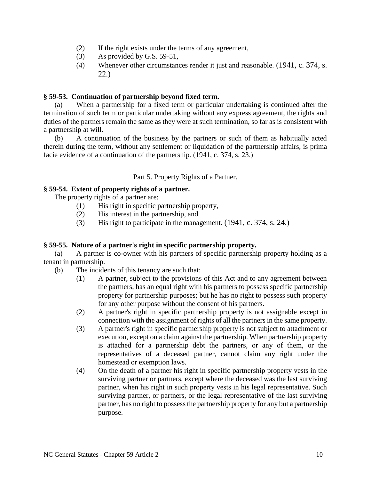- (2) If the right exists under the terms of any agreement,
- (3) As provided by G.S. 59-51,
- (4) Whenever other circumstances render it just and reasonable. (1941, c. 374, s. 22.)

## **§ 59-53. Continuation of partnership beyond fixed term.**

(a) When a partnership for a fixed term or particular undertaking is continued after the termination of such term or particular undertaking without any express agreement, the rights and duties of the partners remain the same as they were at such termination, so far as is consistent with a partnership at will.

(b) A continuation of the business by the partners or such of them as habitually acted therein during the term, without any settlement or liquidation of the partnership affairs, is prima facie evidence of a continuation of the partnership. (1941, c. 374, s. 23.)

## Part 5. Property Rights of a Partner.

## **§ 59-54. Extent of property rights of a partner.**

The property rights of a partner are:

- (1) His right in specific partnership property,
- (2) His interest in the partnership, and
- (3) His right to participate in the management. (1941, c. 374, s. 24.)

## **§ 59-55. Nature of a partner's right in specific partnership property.**

(a) A partner is co-owner with his partners of specific partnership property holding as a tenant in partnership.

- (b) The incidents of this tenancy are such that:
	- (1) A partner, subject to the provisions of this Act and to any agreement between the partners, has an equal right with his partners to possess specific partnership property for partnership purposes; but he has no right to possess such property for any other purpose without the consent of his partners.
	- (2) A partner's right in specific partnership property is not assignable except in connection with the assignment of rights of all the partners in the same property.
	- (3) A partner's right in specific partnership property is not subject to attachment or execution, except on a claim against the partnership. When partnership property is attached for a partnership debt the partners, or any of them, or the representatives of a deceased partner, cannot claim any right under the homestead or exemption laws.
	- (4) On the death of a partner his right in specific partnership property vests in the surviving partner or partners, except where the deceased was the last surviving partner, when his right in such property vests in his legal representative. Such surviving partner, or partners, or the legal representative of the last surviving partner, has no right to possess the partnership property for any but a partnership purpose.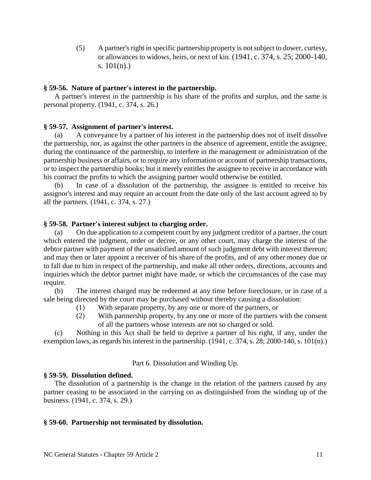(5) A partner's right in specific partnership property is not subject to dower, curtesy, or allowances to widows, heirs, or next of kin. (1941, c. 374, s. 25; 2000-140, s. 101(n).)

## **§ 59-56. Nature of partner's interest in the partnership.**

A partner's interest in the partnership is his share of the profits and surplus, and the same is personal property. (1941, c. 374, s. 26.)

### **§ 59-57. Assignment of partner's interest.**

(a) A conveyance by a partner of his interest in the partnership does not of itself dissolve the partnership, nor, as against the other partners in the absence of agreement, entitle the assignee, during the continuance of the partnership, to interfere in the management or administration of the partnership business or affairs, or to require any information or account of partnership transactions, or to inspect the partnership books; but it merely entitles the assignee to receive in accordance with his contract the profits to which the assigning partner would otherwise be entitled.

(b) In case of a dissolution of the partnership, the assignee is entitled to receive his assignor's interest and may require an account from the date only of the last account agreed to by all the partners. (1941, c. 374, s. 27.)

### **§ 59-58. Partner's interest subject to charging order.**

(a) On due application to a competent court by any judgment creditor of a partner, the court which entered the judgment, order or decree, or any other court, may charge the interest of the debtor partner with payment of the unsatisfied amount of such judgment debt with interest thereon; and may then or later appoint a receiver of his share of the profits, and of any other money due or to fall due to him in respect of the partnership, and make all other orders, directions, accounts and inquiries which the debtor partner might have made, or which the circumstances of the case may require.

(b) The interest charged may be redeemed at any time before foreclosure, or in case of a sale being directed by the court may be purchased without thereby causing a dissolution:

- (1) With separate property, by any one or more of the partners, or
- (2) With partnership property, by any one or more of the partners with the consent of all the partners whose interests are not so charged or sold.

(c) Nothing in this Act shall be held to deprive a partner of his right, if any, under the exemption laws, as regards his interest in the partnership. (1941, c. 374, s. 28; 2000-140, s. 101(n).)

Part 6. Dissolution and Winding Up.

#### **§ 59-59. Dissolution defined.**

The dissolution of a partnership is the change in the relation of the partners caused by any partner ceasing to be associated in the carrying on as distinguished from the winding up of the business. (1941, c. 374, s. 29.)

#### **§ 59-60. Partnership not terminated by dissolution.**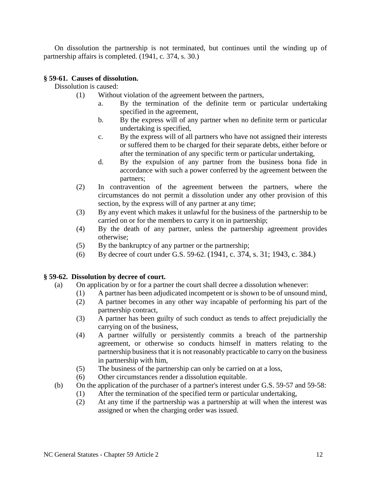On dissolution the partnership is not terminated, but continues until the winding up of partnership affairs is completed. (1941, c. 374, s. 30.)

## **§ 59-61. Causes of dissolution.**

Dissolution is caused:

- (1) Without violation of the agreement between the partners,
	- a. By the termination of the definite term or particular undertaking specified in the agreement,
	- b. By the express will of any partner when no definite term or particular undertaking is specified,
	- c. By the express will of all partners who have not assigned their interests or suffered them to be charged for their separate debts, either before or after the termination of any specific term or particular undertaking,
	- d. By the expulsion of any partner from the business bona fide in accordance with such a power conferred by the agreement between the partners;
- (2) In contravention of the agreement between the partners, where the circumstances do not permit a dissolution under any other provision of this section, by the express will of any partner at any time;
- (3) By any event which makes it unlawful for the business of the partnership to be carried on or for the members to carry it on in partnership;
- (4) By the death of any partner, unless the partnership agreement provides otherwise;
- (5) By the bankruptcy of any partner or the partnership;
- (6) By decree of court under G.S. 59-62. (1941, c. 374, s. 31; 1943, c. 384.)

## **§ 59-62. Dissolution by decree of court.**

- (a) On application by or for a partner the court shall decree a dissolution whenever:
	- (1) A partner has been adjudicated incompetent or is shown to be of unsound mind,
	- (2) A partner becomes in any other way incapable of performing his part of the partnership contract,
	- (3) A partner has been guilty of such conduct as tends to affect prejudicially the carrying on of the business,
	- (4) A partner wilfully or persistently commits a breach of the partnership agreement, or otherwise so conducts himself in matters relating to the partnership business that it is not reasonably practicable to carry on the business in partnership with him,
	- (5) The business of the partnership can only be carried on at a loss,
	- (6) Other circumstances render a dissolution equitable.
- (b) On the application of the purchaser of a partner's interest under G.S. 59-57 and 59-58:
	- (1) After the termination of the specified term or particular undertaking,
	- (2) At any time if the partnership was a partnership at will when the interest was assigned or when the charging order was issued.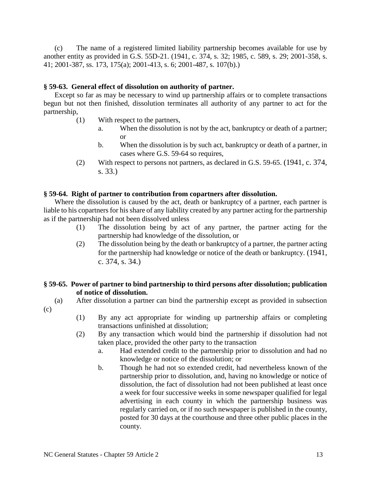(c) The name of a registered limited liability partnership becomes available for use by another entity as provided in G.S. 55D-21. (1941, c. 374, s. 32; 1985, c. 589, s. 29; 2001-358, s. 41; 2001-387, ss. 173, 175(a); 2001-413, s. 6; 2001-487, s. 107(b).)

## **§ 59-63. General effect of dissolution on authority of partner.**

Except so far as may be necessary to wind up partnership affairs or to complete transactions begun but not then finished, dissolution terminates all authority of any partner to act for the partnership,

- (1) With respect to the partners,
	- a. When the dissolution is not by the act, bankruptcy or death of a partner; or
	- b. When the dissolution is by such act, bankruptcy or death of a partner, in cases where G.S. 59-64 so requires,
- (2) With respect to persons not partners, as declared in G.S. 59-65. (1941, c. 374, s. 33.)

## **§ 59-64. Right of partner to contribution from copartners after dissolution.**

Where the dissolution is caused by the act, death or bankruptcy of a partner, each partner is liable to his copartners for his share of any liability created by any partner acting for the partnership as if the partnership had not been dissolved unless

- (1) The dissolution being by act of any partner, the partner acting for the partnership had knowledge of the dissolution, or
- (2) The dissolution being by the death or bankruptcy of a partner, the partner acting for the partnership had knowledge or notice of the death or bankruptcy. (1941, c. 374, s. 34.)

# **§ 59-65. Power of partner to bind partnership to third persons after dissolution; publication of notice of dissolution.**

- (a) After dissolution a partner can bind the partnership except as provided in subsection  $(c)$ 
	- (1) By any act appropriate for winding up partnership affairs or completing transactions unfinished at dissolution;
	- (2) By any transaction which would bind the partnership if dissolution had not taken place, provided the other party to the transaction
		- a. Had extended credit to the partnership prior to dissolution and had no knowledge or notice of the dissolution; or
		- b. Though he had not so extended credit, had nevertheless known of the partnership prior to dissolution, and, having no knowledge or notice of dissolution, the fact of dissolution had not been published at least once a week for four successive weeks in some newspaper qualified for legal advertising in each county in which the partnership business was regularly carried on, or if no such newspaper is published in the county, posted for 30 days at the courthouse and three other public places in the county.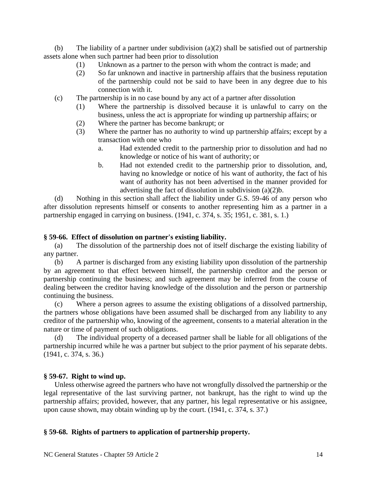(b) The liability of a partner under subdivision (a)(2) shall be satisfied out of partnership assets alone when such partner had been prior to dissolution

- (1) Unknown as a partner to the person with whom the contract is made; and
- (2) So far unknown and inactive in partnership affairs that the business reputation of the partnership could not be said to have been in any degree due to his connection with it.
- (c) The partnership is in no case bound by any act of a partner after dissolution
	- (1) Where the partnership is dissolved because it is unlawful to carry on the business, unless the act is appropriate for winding up partnership affairs; or
	- (2) Where the partner has become bankrupt; or
	- (3) Where the partner has no authority to wind up partnership affairs; except by a transaction with one who
		- a. Had extended credit to the partnership prior to dissolution and had no knowledge or notice of his want of authority; or
		- b. Had not extended credit to the partnership prior to dissolution, and, having no knowledge or notice of his want of authority, the fact of his want of authority has not been advertised in the manner provided for advertising the fact of dissolution in subdivision (a)(2)b.

(d) Nothing in this section shall affect the liability under G.S. 59-46 of any person who after dissolution represents himself or consents to another representing him as a partner in a partnership engaged in carrying on business. (1941, c. 374, s. 35; 1951, c. 381, s. 1.)

## **§ 59-66. Effect of dissolution on partner's existing liability.**

(a) The dissolution of the partnership does not of itself discharge the existing liability of any partner.

(b) A partner is discharged from any existing liability upon dissolution of the partnership by an agreement to that effect between himself, the partnership creditor and the person or partnership continuing the business; and such agreement may be inferred from the course of dealing between the creditor having knowledge of the dissolution and the person or partnership continuing the business.

(c) Where a person agrees to assume the existing obligations of a dissolved partnership, the partners whose obligations have been assumed shall be discharged from any liability to any creditor of the partnership who, knowing of the agreement, consents to a material alteration in the nature or time of payment of such obligations.

(d) The individual property of a deceased partner shall be liable for all obligations of the partnership incurred while he was a partner but subject to the prior payment of his separate debts. (1941, c. 374, s. 36.)

# **§ 59-67. Right to wind up.**

Unless otherwise agreed the partners who have not wrongfully dissolved the partnership or the legal representative of the last surviving partner, not bankrupt, has the right to wind up the partnership affairs; provided, however, that any partner, his legal representative or his assignee, upon cause shown, may obtain winding up by the court. (1941, c. 374, s. 37.)

# **§ 59-68. Rights of partners to application of partnership property.**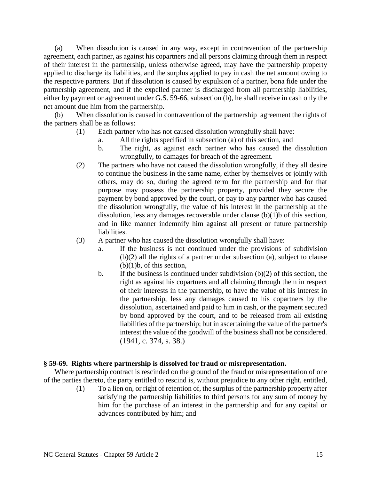(a) When dissolution is caused in any way, except in contravention of the partnership agreement, each partner, as against his copartners and all persons claiming through them in respect of their interest in the partnership, unless otherwise agreed, may have the partnership property applied to discharge its liabilities, and the surplus applied to pay in cash the net amount owing to the respective partners. But if dissolution is caused by expulsion of a partner, bona fide under the partnership agreement, and if the expelled partner is discharged from all partnership liabilities, either by payment or agreement under G.S. 59-66, subsection (b), he shall receive in cash only the net amount due him from the partnership.

(b) When dissolution is caused in contravention of the partnership agreement the rights of the partners shall be as follows:

- (1) Each partner who has not caused dissolution wrongfully shall have:
	- a. All the rights specified in subsection (a) of this section, and
	- b. The right, as against each partner who has caused the dissolution wrongfully, to damages for breach of the agreement.
- (2) The partners who have not caused the dissolution wrongfully, if they all desire to continue the business in the same name, either by themselves or jointly with others, may do so, during the agreed term for the partnership and for that purpose may possess the partnership property, provided they secure the payment by bond approved by the court, or pay to any partner who has caused the dissolution wrongfully, the value of his interest in the partnership at the dissolution, less any damages recoverable under clause (b)(1)b of this section, and in like manner indemnify him against all present or future partnership liabilities.
- (3) A partner who has caused the dissolution wrongfully shall have:
	- a. If the business is not continued under the provisions of subdivision (b)(2) all the rights of a partner under subsection (a), subject to clause (b)(1)b, of this section,
	- b. If the business is continued under subdivision  $(b)(2)$  of this section, the right as against his copartners and all claiming through them in respect of their interests in the partnership, to have the value of his interest in the partnership, less any damages caused to his copartners by the dissolution, ascertained and paid to him in cash, or the payment secured by bond approved by the court, and to be released from all existing liabilities of the partnership; but in ascertaining the value of the partner's interest the value of the goodwill of the business shall not be considered. (1941, c. 374, s. 38.)

## **§ 59-69. Rights where partnership is dissolved for fraud or misrepresentation.**

Where partnership contract is rescinded on the ground of the fraud or misrepresentation of one of the parties thereto, the party entitled to rescind is, without prejudice to any other right, entitled,

> (1) To a lien on, or right of retention of, the surplus of the partnership property after satisfying the partnership liabilities to third persons for any sum of money by him for the purchase of an interest in the partnership and for any capital or advances contributed by him; and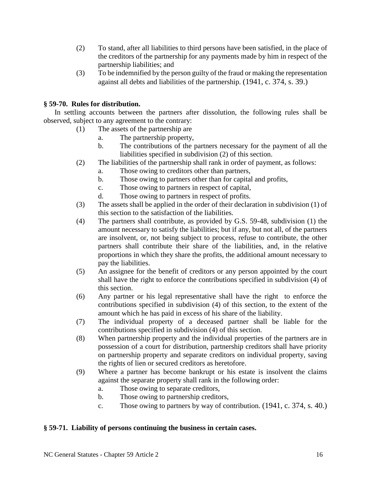- (2) To stand, after all liabilities to third persons have been satisfied, in the place of the creditors of the partnership for any payments made by him in respect of the partnership liabilities; and
- (3) To be indemnified by the person guilty of the fraud or making the representation against all debts and liabilities of the partnership. (1941, c. 374, s. 39.)

# **§ 59-70. Rules for distribution.**

In settling accounts between the partners after dissolution, the following rules shall be observed, subject to any agreement to the contrary:

- (1) The assets of the partnership are
	- a. The partnership property,
	- b. The contributions of the partners necessary for the payment of all the liabilities specified in subdivision (2) of this section.
- (2) The liabilities of the partnership shall rank in order of payment, as follows:
	- a. Those owing to creditors other than partners,
	- b. Those owing to partners other than for capital and profits,
	- c. Those owing to partners in respect of capital,
	- d. Those owing to partners in respect of profits.
- (3) The assets shall be applied in the order of their declaration in subdivision (1) of this section to the satisfaction of the liabilities.
- (4) The partners shall contribute, as provided by G.S. 59-48, subdivision (1) the amount necessary to satisfy the liabilities; but if any, but not all, of the partners are insolvent, or, not being subject to process, refuse to contribute, the other partners shall contribute their share of the liabilities, and, in the relative proportions in which they share the profits, the additional amount necessary to pay the liabilities.
- (5) An assignee for the benefit of creditors or any person appointed by the court shall have the right to enforce the contributions specified in subdivision (4) of this section.
- (6) Any partner or his legal representative shall have the right to enforce the contributions specified in subdivision (4) of this section, to the extent of the amount which he has paid in excess of his share of the liability.
- (7) The individual property of a deceased partner shall be liable for the contributions specified in subdivision (4) of this section.
- (8) When partnership property and the individual properties of the partners are in possession of a court for distribution, partnership creditors shall have priority on partnership property and separate creditors on individual property, saving the rights of lien or secured creditors as heretofore.
- (9) Where a partner has become bankrupt or his estate is insolvent the claims against the separate property shall rank in the following order:
	- a. Those owing to separate creditors,
	- b. Those owing to partnership creditors,
	- c. Those owing to partners by way of contribution. (1941, c. 374, s. 40.)

# **§ 59-71. Liability of persons continuing the business in certain cases.**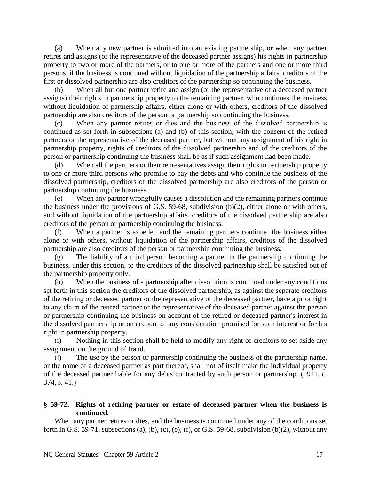(a) When any new partner is admitted into an existing partnership, or when any partner retires and assigns (or the representative of the deceased partner assigns) his rights in partnership property to two or more of the partners, or to one or more of the partners and one or more third persons, if the business is continued without liquidation of the partnership affairs, creditors of the first or dissolved partnership are also creditors of the partnership so continuing the business.

(b) When all but one partner retire and assign (or the representative of a deceased partner assigns) their rights in partnership property to the remaining partner, who continues the business without liquidation of partnership affairs, either alone or with others, creditors of the dissolved partnership are also creditors of the person or partnership so continuing the business.

(c) When any partner retires or dies and the business of the dissolved partnership is continued as set forth in subsections (a) and (b) of this section, with the consent of the retired partners or the representative of the deceased partner, but without any assignment of his right in partnership property, rights of creditors of the dissolved partnership and of the creditors of the person or partnership continuing the business shall be as if such assignment had been made.

(d) When all the partners or their representatives assign their rights in partnership property to one or more third persons who promise to pay the debts and who continue the business of the dissolved partnership, creditors of the dissolved partnership are also creditors of the person or partnership continuing the business.

(e) When any partner wrongfully causes a dissolution and the remaining partners continue the business under the provisions of G.S. 59-68, subdivision (b)(2), either alone or with others, and without liquidation of the partnership affairs, creditors of the dissolved partnership are also creditors of the person or partnership continuing the business.

(f) When a partner is expelled and the remaining partners continue the business either alone or with others, without liquidation of the partnership affairs, creditors of the dissolved partnership are also creditors of the person or partnership continuing the business.

(g) The liability of a third person becoming a partner in the partnership continuing the business, under this section, to the creditors of the dissolved partnership shall be satisfied out of the partnership property only.

(h) When the business of a partnership after dissolution is continued under any conditions set forth in this section the creditors of the dissolved partnership, as against the separate creditors of the retiring or deceased partner or the representative of the deceased partner, have a prior right to any claim of the retired partner or the representative of the deceased partner against the person or partnership continuing the business on account of the retired or deceased partner's interest in the dissolved partnership or on account of any consideration promised for such interest or for his right in partnership property.

(i) Nothing in this section shall be held to modify any right of creditors to set aside any assignment on the ground of fraud.

(j) The use by the person or partnership continuing the business of the partnership name, or the name of a deceased partner as part thereof, shall not of itself make the individual property of the deceased partner liable for any debts contracted by such person or partnership. (1941, c. 374, s. 41.)

## **§ 59-72. Rights of retiring partner or estate of deceased partner when the business is continued.**

When any partner retires or dies, and the business is continued under any of the conditions set forth in G.S. 59-71, subsections (a), (b), (c), (e), (f), or G.S. 59-68, subdivision (b)(2), without any